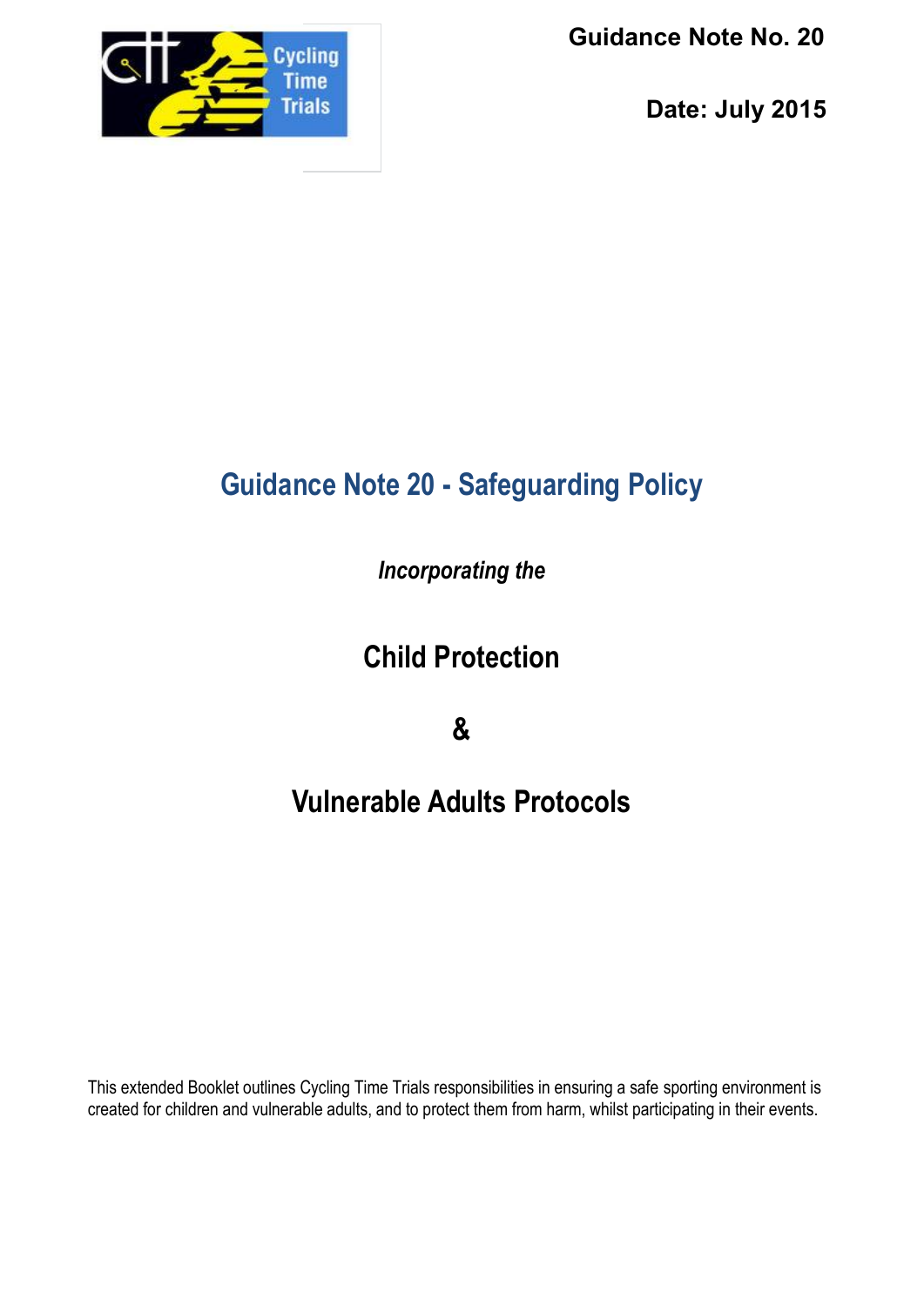

 **Guidance Note No. 20**

 **Date: July 2015**

# **Guidance Note 20 - Safeguarding Policy**

*Incorporating the*

**Child Protection**

**&**

# **Vulnerable Adults Protocols**

This extended Booklet outlines Cycling Time Trials responsibilities in ensuring a safe sporting environment is created for children and vulnerable adults, and to protect them from harm, whilst participating in their events.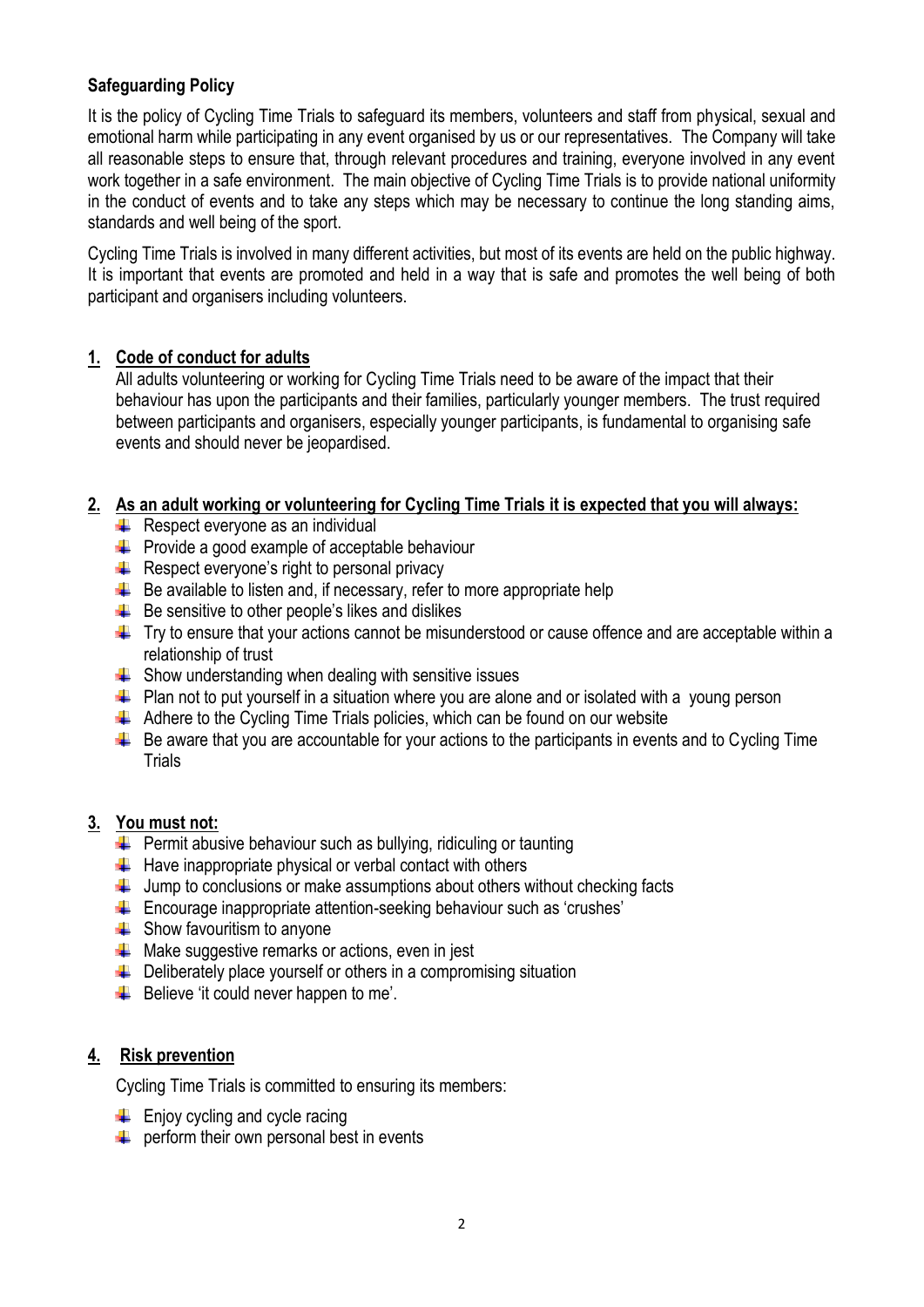# **Safeguarding Policy**

It is the policy of Cycling Time Trials to safeguard its members, volunteers and staff from physical, sexual and emotional harm while participating in any event organised by us or our representatives. The Company will take all reasonable steps to ensure that, through relevant procedures and training, everyone involved in any event work together in a safe environment. The main objective of Cycling Time Trials is to provide national uniformity in the conduct of events and to take any steps which may be necessary to continue the long standing aims, standards and well being of the sport.

Cycling Time Trials is involved in many different activities, but most of its events are held on the public highway. It is important that events are promoted and held in a way that is safe and promotes the well being of both participant and organisers including volunteers.

## **1. Code of conduct for adults**

All adults volunteering or working for Cycling Time Trials need to be aware of the impact that their behaviour has upon the participants and their families, particularly younger members. The trust required between participants and organisers, especially younger participants, is fundamental to organising safe events and should never be jeopardised.

## **2. As an adult working or volunteering for Cycling Time Trials it is expected that you will always:**

- $\leftarrow$  Respect everyone as an individual
- $\leftarrow$  Provide a good example of acceptable behaviour
- $\bigstar$  Respect everyone's right to personal privacy
- $\bigstar$  Be available to listen and, if necessary, refer to more appropriate help
- $\bigstar$  Be sensitive to other people's likes and dislikes
- $\uparrow$  Try to ensure that your actions cannot be misunderstood or cause offence and are acceptable within a relationship of trust
- $\div$  Show understanding when dealing with sensitive issues
- $\downarrow$  Plan not to put yourself in a situation where you are alone and or isolated with a young person
- $\downarrow$  Adhere to the Cycling Time Trials policies, which can be found on our website
- $\ddot{\phantom{1}}$  Be aware that you are accountable for your actions to the participants in events and to Cycling Time **Trials**

### **3. You must not:**

- $\downarrow$  Permit abusive behaviour such as bullying, ridiculing or taunting
- $\div$  Have inappropriate physical or verbal contact with others
- $\downarrow$  Jump to conclusions or make assumptions about others without checking facts
- Encourage inappropriate attention-seeking behaviour such as 'crushes'
- $\triangleq$  Show favouritism to anyone
- $\bigstar$  Make suggestive remarks or actions, even in jest
- $\bigcup$  Deliberately place yourself or others in a compromising situation
- $\bigstar$  Believe 'it could never happen to me'.

## **4. Risk prevention**

Cycling Time Trials is committed to ensuring its members:

- $\leftarrow$  Enjoy cycling and cycle racing
- $\bigstar$  perform their own personal best in events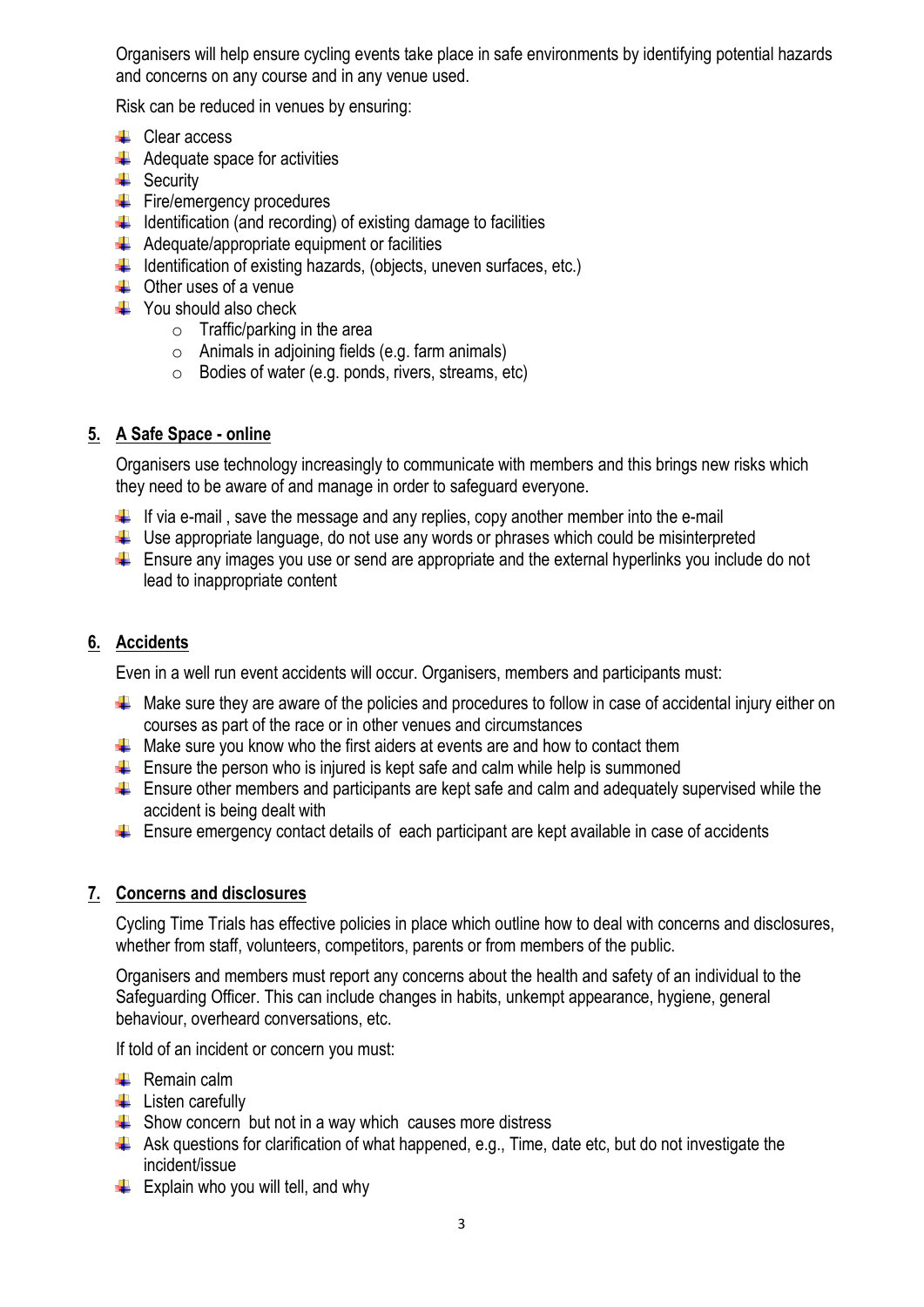Organisers will help ensure cycling events take place in safe environments by identifying potential hazards and concerns on any course and in any venue used.

Risk can be reduced in venues by ensuring:

- $\leftarrow$  Clear access
- $\bigstar$  Adequate space for activities
- $\triangleq$  Security
- Fire/emergency procedures
- $\downarrow$  Identification (and recording) of existing damage to facilities
- $\triangleq$  Adequate/appropriate equipment or facilities
- $\downarrow$  Identification of existing hazards, (objects, uneven surfaces, etc.)
- $\triangleq$  Other uses of a venue
- $\triangleq$  You should also check
	- o Traffic/parking in the area
	- $\circ$  Animals in adjoining fields (e.g. farm animals)
	- o Bodies of water (e.g. ponds, rivers, streams, etc)

## **5. A Safe Space - online**

Organisers use technology increasingly to communicate with members and this brings new risks which they need to be aware of and manage in order to safeguard everyone.

- $\downarrow$  If via e-mail, save the message and any replies, copy another member into the e-mail
- $\downarrow$  Use appropriate language, do not use any words or phrases which could be misinterpreted
- $\ddot{\phantom{1}}$  Ensure any images you use or send are appropriate and the external hyperlinks you include do not lead to inappropriate content

## **6. Accidents**

Even in a well run event accidents will occur. Organisers, members and participants must:

- $\downarrow$  Make sure they are aware of the policies and procedures to follow in case of accidental injury either on courses as part of the race or in other venues and circumstances
- $\downarrow$  Make sure you know who the first aiders at events are and how to contact them
- $\downarrow$  Ensure the person who is injured is kept safe and calm while help is summoned
- $\ddot{\phantom{1}}$  Ensure other members and participants are kept safe and calm and adequately supervised while the accident is being dealt with
- $\downarrow$  Ensure emergency contact details of each participant are kept available in case of accidents

## **7. Concerns and disclosures**

Cycling Time Trials has effective policies in place which outline how to deal with concerns and disclosures, whether from staff, volunteers, competitors, parents or from members of the public.

Organisers and members must report any concerns about the health and safety of an individual to the Safeguarding Officer. This can include changes in habits, unkempt appearance, hygiene, general behaviour, overheard conversations, etc.

If told of an incident or concern you must:

- $\leftarrow$  Remain calm
- $\leftarrow$  Listen carefully
- $\div$  Show concern but not in a way which causes more distress
- $\downarrow$  Ask questions for clarification of what happened, e.g., Time, date etc, but do not investigate the incident/issue
- $\bigstar$  Explain who you will tell, and why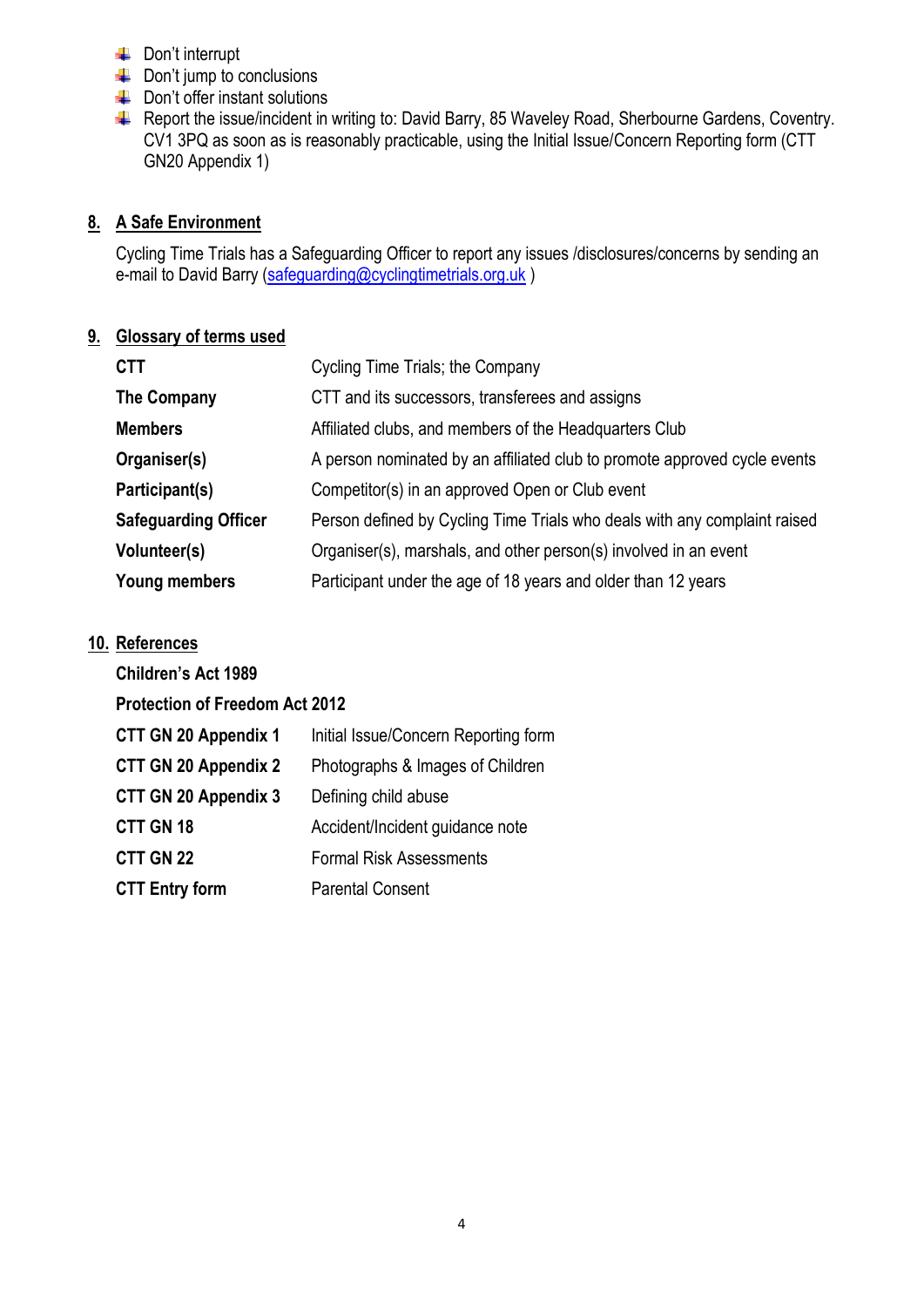- **←** Don't interrupt
- $\downarrow$  Don't jump to conclusions
- $\downarrow$  Don't offer instant solutions
- Report the issue/incident in writing to: David Barry, 85 Waveley Road, Sherbourne Gardens, Coventry. CV1 3PQ as soon as is reasonably practicable, using the Initial Issue/Concern Reporting form (CTT GN20 Appendix 1)

# **8. A Safe Environment**

Cycling Time Trials has a Safeguarding Officer to report any issues /disclosures/concerns by sending an e-mail to David Barry [\(safeguarding@cyclingtimetrials.org.uk](mailto:safeguarding@cyclingtimetrials.org.uk))

# **9. Glossary of terms used**

| <b>CTT</b>                  | Cycling Time Trials; the Company                                          |  |
|-----------------------------|---------------------------------------------------------------------------|--|
| <b>The Company</b>          | CTT and its successors, transferees and assigns                           |  |
| <b>Members</b>              | Affiliated clubs, and members of the Headquarters Club                    |  |
| Organiser(s)                | A person nominated by an affiliated club to promote approved cycle events |  |
| Participant(s)              | Competitor(s) in an approved Open or Club event                           |  |
| <b>Safeguarding Officer</b> | Person defined by Cycling Time Trials who deals with any complaint raised |  |
| Volunteer(s)                | Organiser(s), marshals, and other person(s) involved in an event          |  |
| <b>Young members</b>        | Participant under the age of 18 years and older than 12 years             |  |

# **10. References**

| <b>Children's Act 1989</b>            |                                      |  |
|---------------------------------------|--------------------------------------|--|
| <b>Protection of Freedom Act 2012</b> |                                      |  |
| <b>CTT GN 20 Appendix 1</b>           | Initial Issue/Concern Reporting form |  |
| <b>CTT GN 20 Appendix 2</b>           | Photographs & Images of Children     |  |
| <b>CTT GN 20 Appendix 3</b>           | Defining child abuse                 |  |
| CTT GN 18                             | Accident/Incident guidance note      |  |
| CTT GN 22                             | <b>Formal Risk Assessments</b>       |  |
| <b>CTT Entry form</b>                 | <b>Parental Consent</b>              |  |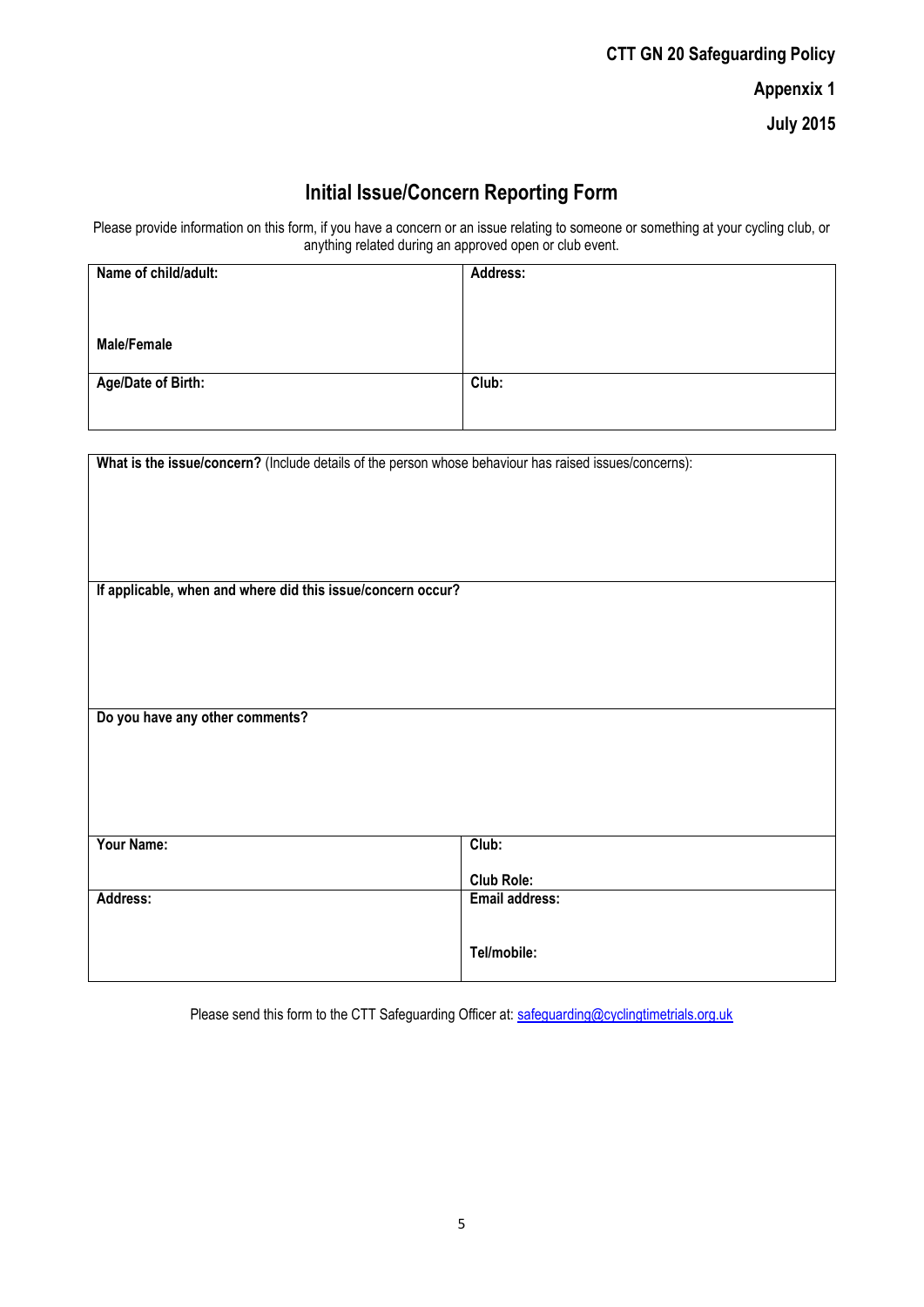| <b>CTT GN 20 Safeguarding Policy</b> |  |  |
|--------------------------------------|--|--|
| <b>Appenxix 1</b>                    |  |  |
| <b>July 2015</b>                     |  |  |

# **Initial Issue/Concern Reporting Form**

Please provide information on this form, if you have a concern or an issue relating to someone or something at your cycling club, or anything related during an approved open or club event.

| Name of child/adult:      | Address: |
|---------------------------|----------|
|                           |          |
|                           |          |
| <b>Male/Female</b>        |          |
| <b>Age/Date of Birth:</b> | Club:    |
|                           |          |
|                           |          |

| What is the issue/concern? (Include details of the person whose behaviour has raised issues/concerns): |                   |  |
|--------------------------------------------------------------------------------------------------------|-------------------|--|
|                                                                                                        |                   |  |
|                                                                                                        |                   |  |
|                                                                                                        |                   |  |
|                                                                                                        |                   |  |
| If applicable, when and where did this issue/concern occur?                                            |                   |  |
|                                                                                                        |                   |  |
|                                                                                                        |                   |  |
|                                                                                                        |                   |  |
|                                                                                                        |                   |  |
| Do you have any other comments?                                                                        |                   |  |
|                                                                                                        |                   |  |
|                                                                                                        |                   |  |
|                                                                                                        |                   |  |
|                                                                                                        |                   |  |
| Your Name:                                                                                             | Club:             |  |
|                                                                                                        | <b>Club Role:</b> |  |
| Address:                                                                                               | Email address:    |  |
|                                                                                                        |                   |  |
|                                                                                                        | Tel/mobile:       |  |
|                                                                                                        |                   |  |

Please send this form to the CTT Safeguarding Officer at: [safeguarding@cyclingtimetrials.org.uk](mailto:safeguarding@cyclingtimetrials.org.uk)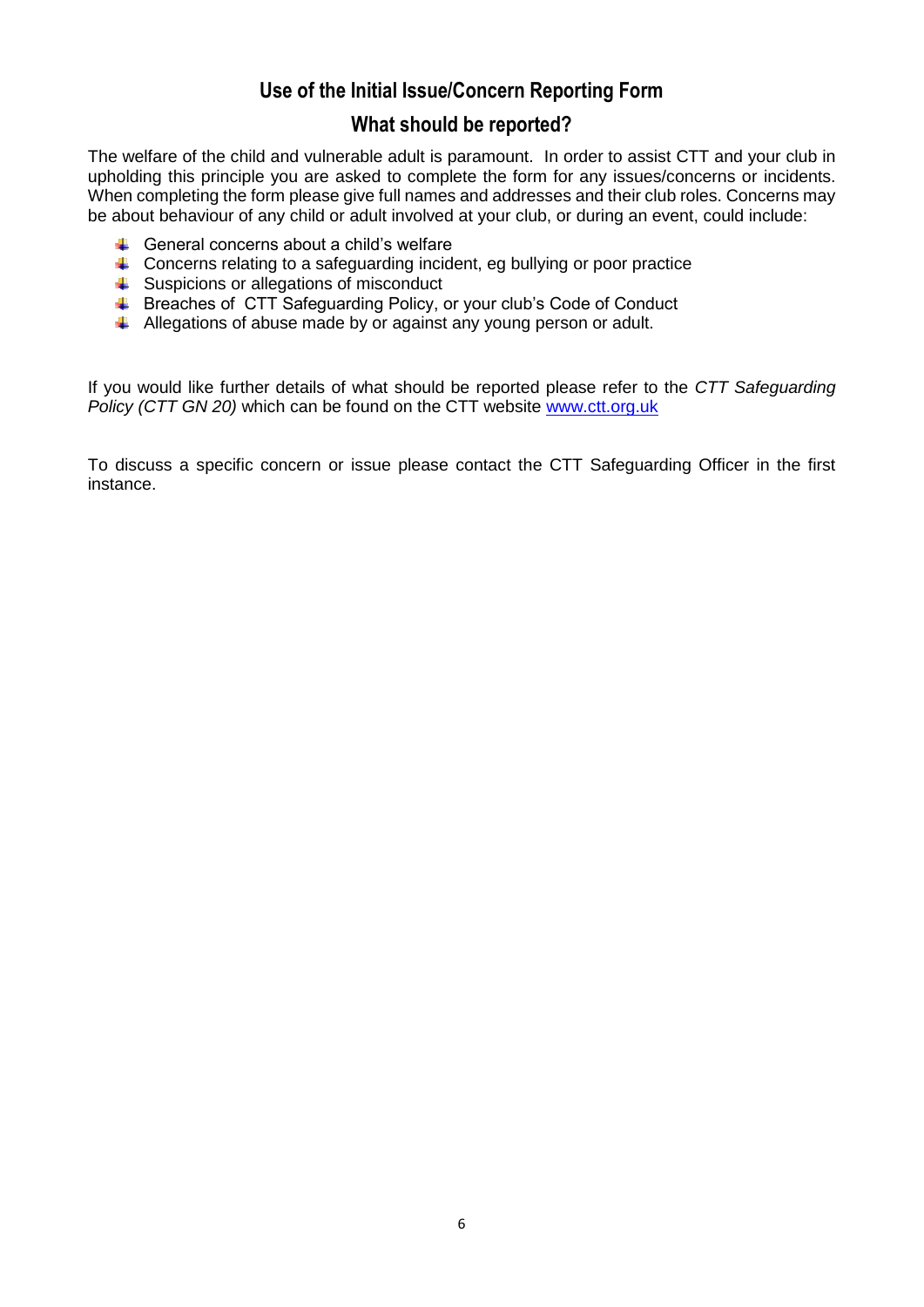# **Use of the Initial Issue/Concern Reporting Form**

# **What should be reported?**

The welfare of the child and vulnerable adult is paramount. In order to assist CTT and your club in upholding this principle you are asked to complete the form for any issues/concerns or incidents. When completing the form please give full names and addresses and their club roles. Concerns may be about behaviour of any child or adult involved at your club, or during an event, could include:

- $\leftarrow$  General concerns about a child's welfare
- $\ddot{\phantom{1}}$  Concerns relating to a safeguarding incident, eg bullying or poor practice
- $\triangleq$  Suspicions or allegations of misconduct
- Breaches of CTT Safeguarding Policy, or your club's Code of Conduct
- Allegations of abuse made by or against any young person or adult.

If you would like further details of what should be reported please refer to the *CTT Safeguarding*  Policy (CTT GN 20) which can be found on the CTT website [www.ctt.org.uk](http://www.ctt.org.uk/)

To discuss a specific concern or issue please contact the CTT Safeguarding Officer in the first instance.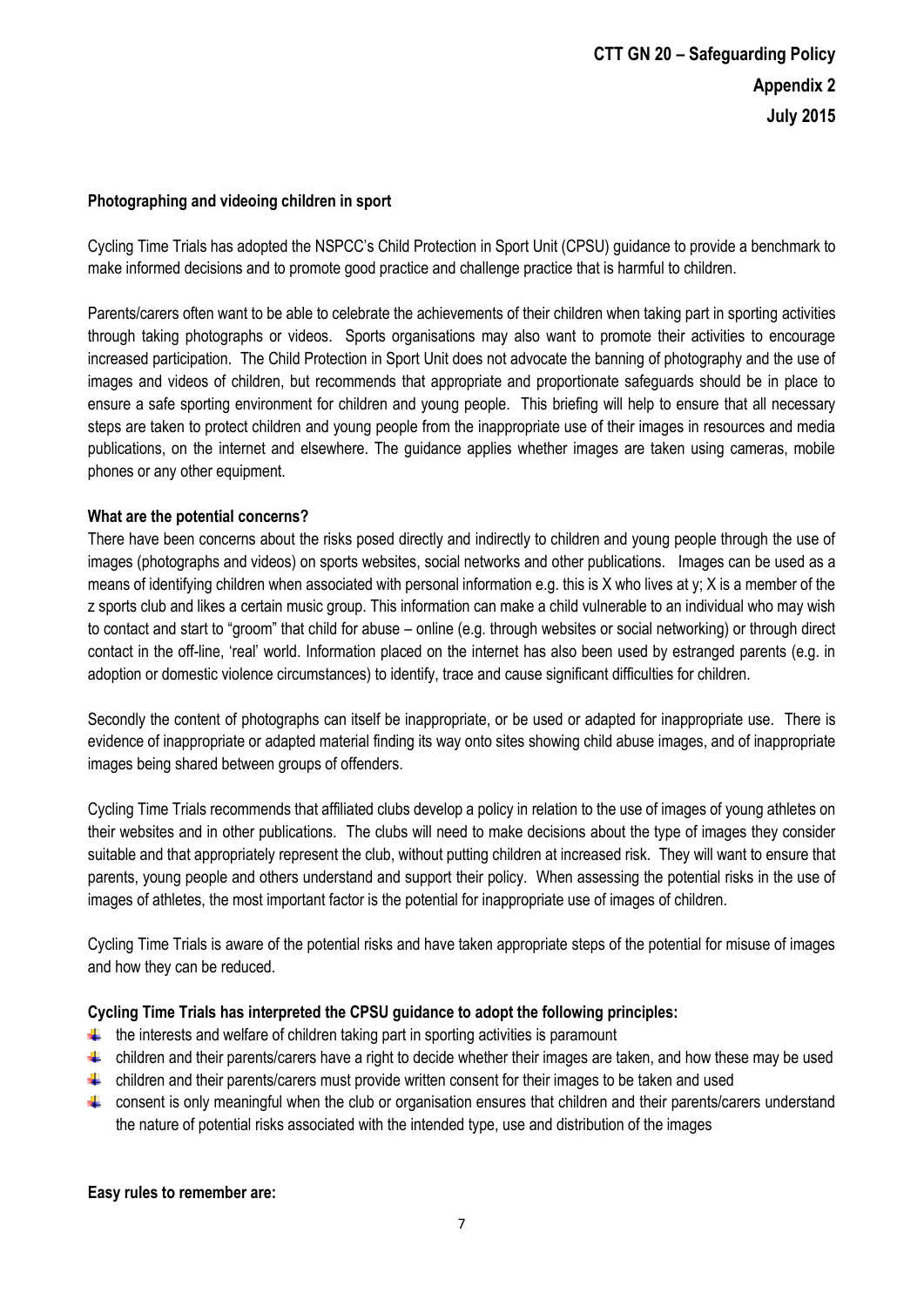#### **Photographing and videoing children in sport**

Cycling Time Trials has adopted the NSPCC's Child Protection in Sport Unit (CPSU) guidance to provide a benchmark to make informed decisions and to promote good practice and challenge practice that is harmful to children.

Parents/carers often want to be able to celebrate the achievements of their children when taking part in sporting activities through taking photographs or videos. Sports organisations may also want to promote their activities to encourage increased participation. The Child Protection in Sport Unit does not advocate the banning of photography and the use of images and videos of children, but recommends that appropriate and proportionate safeguards should be in place to ensure a safe sporting environment for children and young people. This briefing will help to ensure that all necessary steps are taken to protect children and young people from the inappropriate use of their images in resources and media publications, on the internet and elsewhere. The guidance applies whether images are taken using cameras, mobile phones or any other equipment.

#### **What are the potential concerns?**

There have been concerns about the risks posed directly and indirectly to children and young people through the use of images (photographs and videos) on sports websites, social networks and other publications. Images can be used as a means of identifying children when associated with personal information e.g. this is X who lives at  $y$ ; X is a member of the z sports club and likes a certain music group. This information can make a child vulnerable to an individual who may wish to contact and start to "groom" that child for abuse – online (e.g. through websites or social networking) or through direct contact in the off-line, 'real' world. Information placed on the internet has also been used by estranged parents (e.g. in adoption or domestic violence circumstances) to identify, trace and cause significant difficulties for children.

Secondly the content of photographs can itself be inappropriate, or be used or adapted for inappropriate use. There is evidence of inappropriate or adapted material finding its way onto sites showing child abuse images, and of inappropriate images being shared between groups of offenders.

Cycling Time Trials recommends that affiliated clubs develop a policy in relation to the use of images of young athletes on their websites and in other publications. The clubs will need to make decisions about the type of images they consider suitable and that appropriately represent the club, without putting children at increased risk. They will want to ensure that parents, young people and others understand and support their policy. When assessing the potential risks in the use of images of athletes, the most important factor is the potential for inappropriate use of images of children.

Cycling Time Trials is aware of the potential risks and have taken appropriate steps of the potential for misuse of images and how they can be reduced.

#### **Cycling Time Trials has interpreted the CPSU guidance to adopt the following principles:**

- $\ddot{\phantom{1}}$  the interests and welfare of children taking part in sporting activities is paramount
- $\uparrow$  children and their parents/carers have a right to decide whether their images are taken, and how these may be used
- $\ddot{\phantom{1}}$  children and their parents/carers must provide written consent for their images to be taken and used
- consent is only meaningful when the club or organisation ensures that children and their parents/carers understand the nature of potential risks associated with the intended type, use and distribution of the images

#### **Easy rules to remember are:**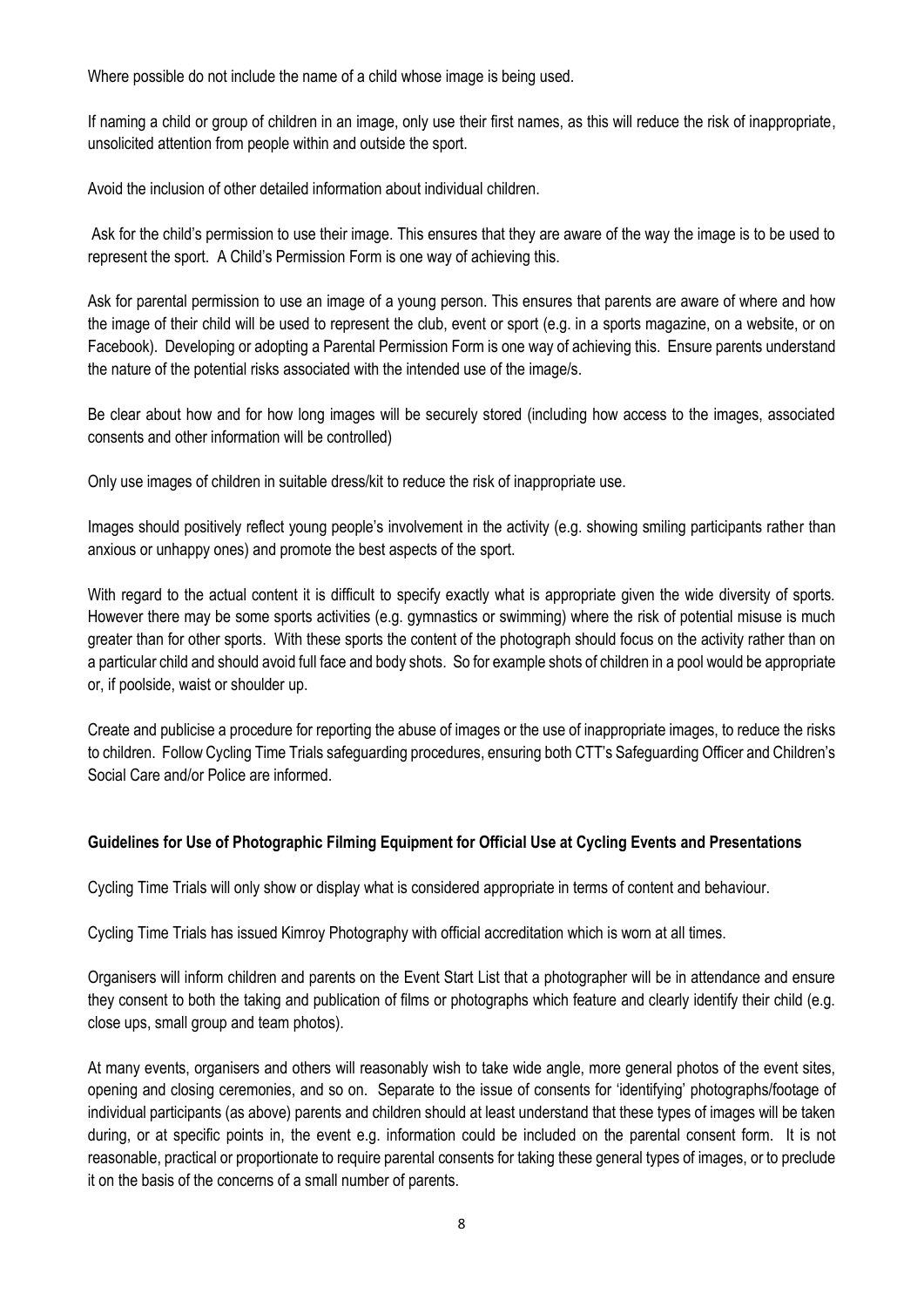Where possible do not include the name of a child whose image is being used.

If naming a child or group of children in an image, only use their first names, as this will reduce the risk of inappropriate, unsolicited attention from people within and outside the sport.

Avoid the inclusion of other detailed information about individual children.

Ask for the child's permission to use their image. This ensures that they are aware of the way the image is to be used to represent the sport. A Child's Permission Form is one way of achieving this.

Ask for parental permission to use an image of a young person. This ensures that parents are aware of where and how the image of their child will be used to represent the club, event or sport (e.g. in a sports magazine, on a website, or on Facebook). Developing or adopting a Parental Permission Form is one way of achieving this. Ensure parents understand the nature of the potential risks associated with the intended use of the image/s.

Be clear about how and for how long images will be securely stored (including how access to the images, associated consents and other information will be controlled)

Only use images of children in suitable dress/kit to reduce the risk of inappropriate use.

Images should positively reflect young people's involvement in the activity (e.g. showing smiling participants rather than anxious or unhappy ones) and promote the best aspects of the sport.

With regard to the actual content it is difficult to specify exactly what is appropriate given the wide diversity of sports. However there may be some sports activities (e.g. gymnastics or swimming) where the risk of potential misuse is much greater than for other sports. With these sports the content of the photograph should focus on the activity rather than on a particular child and should avoid full face and body shots. So for example shots of children in a pool would be appropriate or, if poolside, waist or shoulder up.

Create and publicise a procedure for reporting the abuse of images or the use of inappropriate images, to reduce the risks to children. Follow Cycling Time Trials safeguarding procedures, ensuring both CTT's Safeguarding Officer and Children's Social Care and/or Police are informed.

#### **Guidelines for Use of Photographic Filming Equipment for Official Use at Cycling Events and Presentations**

Cycling Time Trials will only show or display what is considered appropriate in terms of content and behaviour.

Cycling Time Trials has issued Kimroy Photography with official accreditation which is worn at all times.

Organisers will inform children and parents on the Event Start List that a photographer will be in attendance and ensure they consent to both the taking and publication of films or photographs which feature and clearly identify their child (e.g. close ups, small group and team photos).

At many events, organisers and others will reasonably wish to take wide angle, more general photos of the event sites, opening and closing ceremonies, and so on. Separate to the issue of consents for 'identifying' photographs/footage of individual participants (as above) parents and children should at least understand that these types of images will be taken during, or at specific points in, the event e.g. information could be included on the parental consent form. It is not reasonable, practical or proportionate to require parental consents for taking these general types of images, or to preclude it on the basis of the concerns of a small number of parents.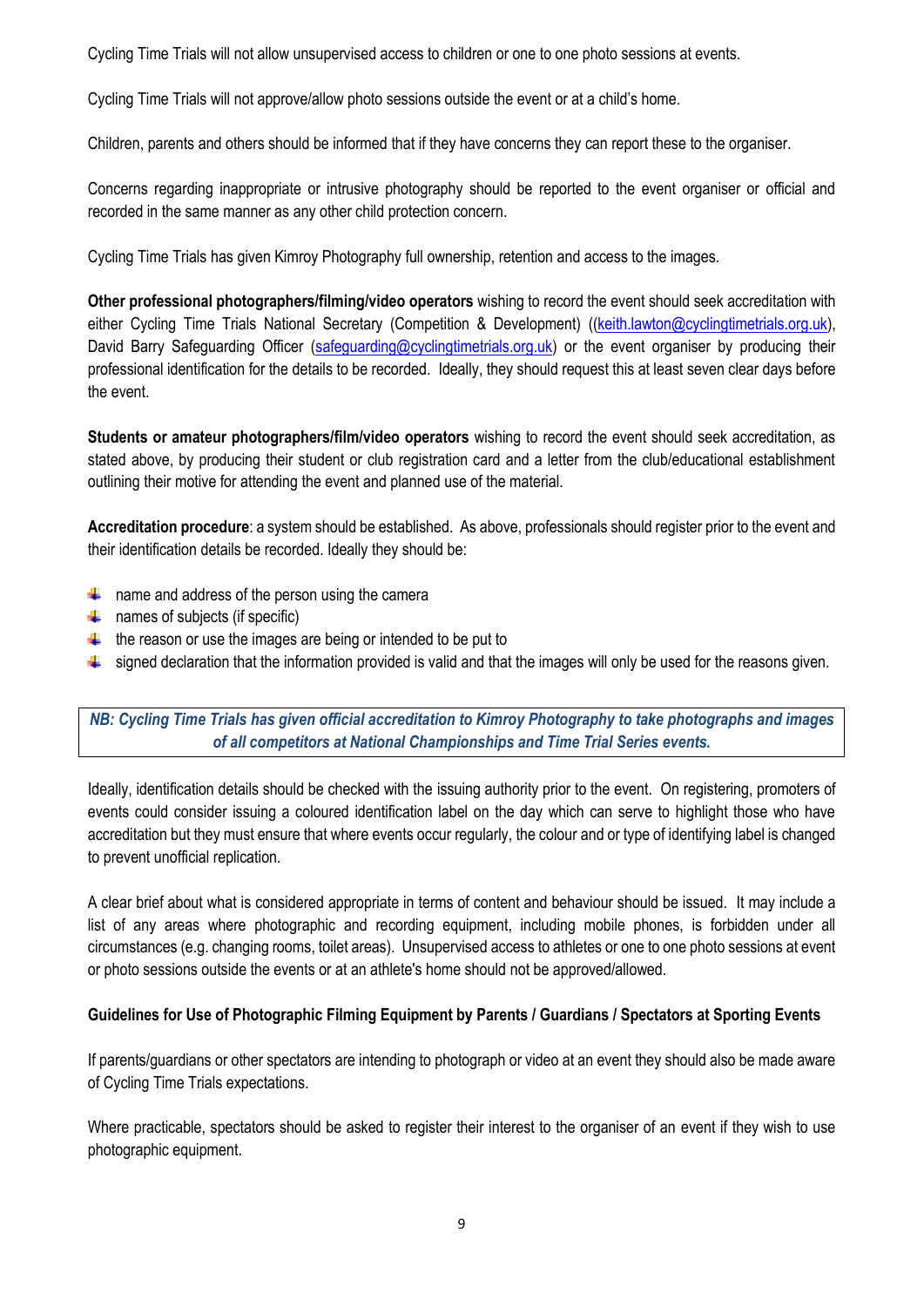Cycling Time Trials will not allow unsupervised access to children or one to one photo sessions at events.

Cycling Time Trials will not approve/allow photo sessions outside the event or at a child's home.

Children, parents and others should be informed that if they have concerns they can report these to the organiser.

Concerns regarding inappropriate or intrusive photography should be reported to the event organiser or official and recorded in the same manner as any other child protection concern.

Cycling Time Trials has given Kimroy Photography full ownership, retention and access to the images.

**Other professional photographers/filming/video operators** wishing to record the event should seek accreditation with either Cycling Time Trials National Secretary (Competition & Development) ([\(keith.lawton@cyclingtimetrials.org.uk\)](mailto:keith.lawton@cyclingtimetrials.org.uk), David Barry Safeguarding Officer [\(safeguarding@cyclingtimetrials.org.uk\)](mailto:safeguarding@cyclingtimetrials.org.uk) or the event organiser by producing their professional identification for the details to be recorded. Ideally, they should request this at least seven clear days before the event.

**Students or amateur photographers/film/video operators** wishing to record the event should seek accreditation, as stated above, by producing their student or club registration card and a letter from the club/educational establishment outlining their motive for attending the event and planned use of the material.

**Accreditation procedure**: a system should be established. As above, professionals should register prior to the event and their identification details be recorded. Ideally they should be:

- $\uparrow$  name and address of the person using the camera
- $\leftarrow$  names of subjects (if specific)
- $\ddot{\phantom{a}}$  the reason or use the images are being or intended to be put to
- $\ddot{\phantom{a}}$  signed declaration that the information provided is valid and that the images will only be used for the reasons given.

*NB: Cycling Time Trials has given official accreditation to Kimroy Photography to take photographs and images of all competitors at National Championships and Time Trial Series events.*

Ideally, identification details should be checked with the issuing authority prior to the event. On registering, promoters of events could consider issuing a coloured identification label on the day which can serve to highlight those who have accreditation but they must ensure that where events occur regularly, the colour and or type of identifying label is changed to prevent unofficial replication.

A clear brief about what is considered appropriate in terms of content and behaviour should be issued. It may include a list of any areas where photographic and recording equipment, including mobile phones, is forbidden under all circumstances (e.g. changing rooms, toilet areas). Unsupervised access to athletes or one to one photo sessions at event or photo sessions outside the events or at an athlete's home should not be approved/allowed.

#### **Guidelines for Use of Photographic Filming Equipment by Parents / Guardians / Spectators at Sporting Events**

If parents/guardians or other spectators are intending to photograph or video at an event they should also be made aware of Cycling Time Trials expectations.

Where practicable, spectators should be asked to register their interest to the organiser of an event if they wish to use photographic equipment.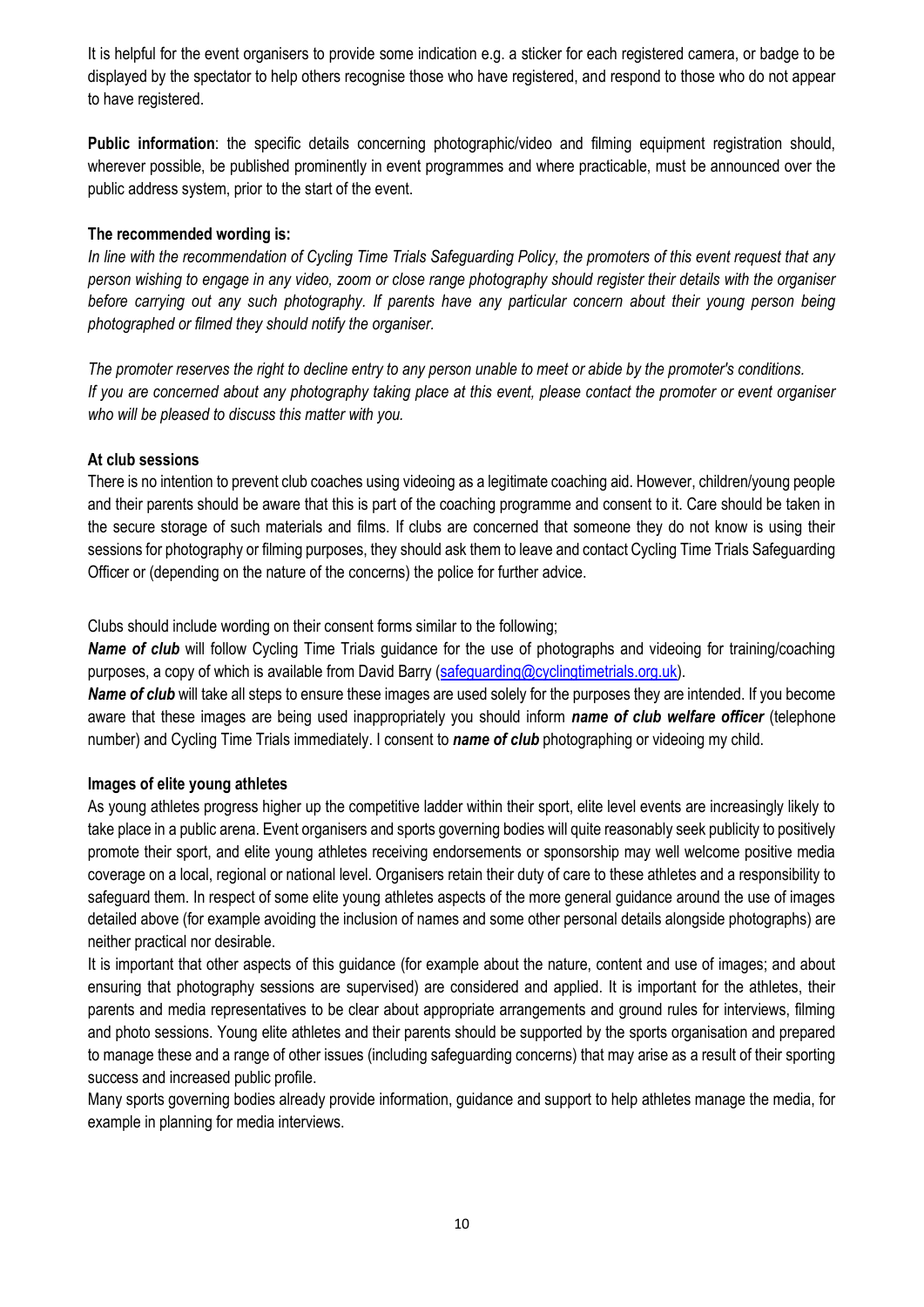It is helpful for the event organisers to provide some indication e.g. a sticker for each registered camera, or badge to be displayed by the spectator to help others recognise those who have registered, and respond to those who do not appear to have registered.

**Public information**: the specific details concerning photographic/video and filming equipment registration should, wherever possible, be published prominently in event programmes and where practicable, must be announced over the public address system, prior to the start of the event.

#### **The recommended wording is:**

*In line with the recommendation of Cycling Time Trials Safeguarding Policy, the promoters of this event request that any person wishing to engage in any video, zoom or close range photography should register their details with the organiser before carrying out any such photography. If parents have any particular concern about their young person being photographed or filmed they should notify the organiser.*

*The promoter reserves the right to decline entry to any person unable to meet or abide by the promoter's conditions. If you are concerned about any photography taking place at this event, please contact the promoter or event organiser who will be pleased to discuss this matter with you.*

#### **At club sessions**

There is no intention to prevent club coaches using videoing as a legitimate coaching aid. However, children/young people and their parents should be aware that this is part of the coaching programme and consent to it. Care should be taken in the secure storage of such materials and films. If clubs are concerned that someone they do not know is using their sessions for photography or filming purposes, they should ask them to leave and contact Cycling Time Trials Safeguarding Officer or (depending on the nature of the concerns) the police for further advice.

Clubs should include wording on their consent forms similar to the following;

*Name of club* will follow Cycling Time Trials guidance for the use of photographs and videoing for training/coaching purposes, a copy of which is available from David Barry [\(safeguarding@cyclingtimetrials.org.uk\)](mailto:safeguarding@cyclingtimetrials.org.uk).

*Name of club* will take all steps to ensure these images are used solely for the purposes they are intended. If you become aware that these images are being used inappropriately you should inform *name of club welfare officer* (telephone number) and Cycling Time Trials immediately. I consent to *name of club* photographing or videoing my child.

#### **Images of elite young athletes**

As young athletes progress higher up the competitive ladder within their sport, elite level events are increasingly likely to take place in a public arena. Event organisers and sports governing bodies will quite reasonably seek publicity to positively promote their sport, and elite young athletes receiving endorsements or sponsorship may well welcome positive media coverage on a local, regional or national level. Organisers retain their duty of care to these athletes and a responsibility to safeguard them. In respect of some elite young athletes aspects of the more general guidance around the use of images detailed above (for example avoiding the inclusion of names and some other personal details alongside photographs) are neither practical nor desirable.

It is important that other aspects of this guidance (for example about the nature, content and use of images; and about ensuring that photography sessions are supervised) are considered and applied. It is important for the athletes, their parents and media representatives to be clear about appropriate arrangements and ground rules for interviews, filming and photo sessions. Young elite athletes and their parents should be supported by the sports organisation and prepared to manage these and a range of other issues (including safeguarding concerns) that may arise as a result of their sporting success and increased public profile.

Many sports governing bodies already provide information, guidance and support to help athletes manage the media, for example in planning for media interviews.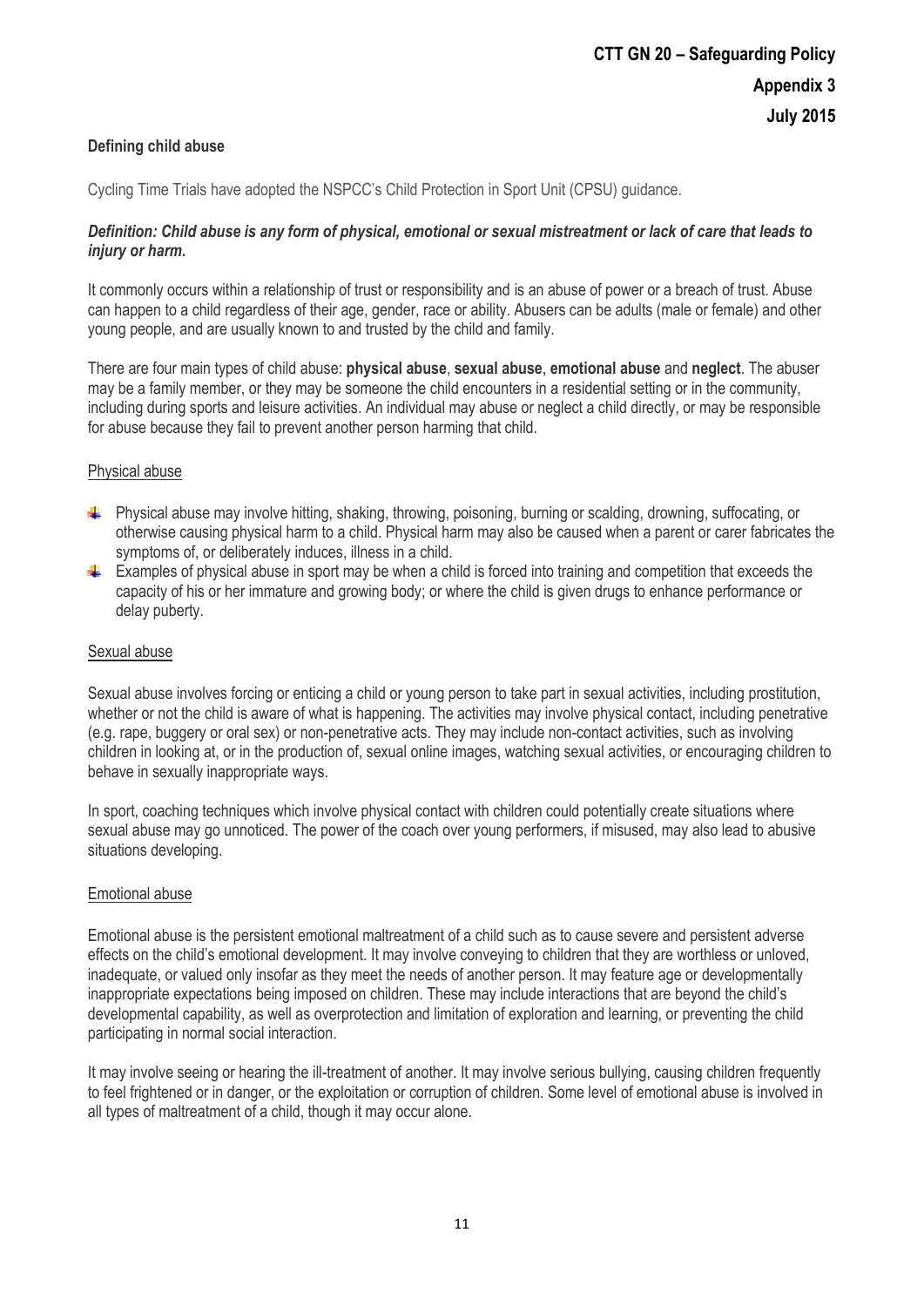#### **Defining child abuse**

Cycling Time Trials have adopted the NSPCC's Child Protection in Sport Unit (CPSU) guidance.

#### *Definition: Child abuse is any form of physical, emotional or sexual mistreatment or lack of care that leads to injury or harm.*

It commonly occurs within a relationship of trust or responsibility and is an abuse of power or a breach of trust. Abuse can happen to a child regardless of their age, gender, race or ability. Abusers can be adults (male or female) and other young people, and are usually known to and trusted by the child and family.

There are four main types of child abuse: **physical abuse**, **sexual abuse**, **emotional abuse** and **neglect**. The abuser may be a family member, or they may be someone the child encounters in a residential setting or in the community, including during sports and leisure activities. An individual may abuse or neglect a child directly, or may be responsible for abuse because they fail to prevent another person harming that child.

#### Physical abuse

- Physical abuse may involve hitting, shaking, throwing, poisoning, burning or scalding, drowning, suffocating, or otherwise causing physical harm to a child. Physical harm may also be caused when a parent or carer fabricates the symptoms of, or deliberately induces, illness in a child.
- Examples of physical abuse in sport may be when a child is forced into training and competition that exceeds the capacity of his or her immature and growing body; or where the child is given drugs to enhance performance or delay puberty.

#### Sexual abuse

Sexual abuse involves forcing or enticing a child or young person to take part in sexual activities, including prostitution, whether or not the child is aware of what is happening. The activities may involve physical contact, including penetrative (e.g. rape, buggery or oral sex) or non-penetrative acts. They may include non-contact activities, such as involving children in looking at, or in the production of, sexual online images, watching sexual activities, or encouraging children to behave in sexually inappropriate ways.

In sport, coaching techniques which involve physical contact with children could potentially create situations where sexual abuse may go unnoticed. The power of the coach over young performers, if misused, may also lead to abusive situations developing.

#### Emotional abuse

Emotional abuse is the persistent emotional maltreatment of a child such as to cause severe and persistent adverse effects on the child's emotional development. It may involve conveying to children that they are worthless or unloved, inadequate, or valued only insofar as they meet the needs of another person. It may feature age or developmentally inappropriate expectations being imposed on children. These may include interactions that are beyond the child's developmental capability, as well as overprotection and limitation of exploration and learning, or preventing the child participating in normal social interaction.

It may involve seeing or hearing the ill-treatment of another. It may involve serious bullying, causing children frequently to feel frightened or in danger, or the exploitation or corruption of children. Some level of emotional abuse is involved in all types of maltreatment of a child, though it may occur alone.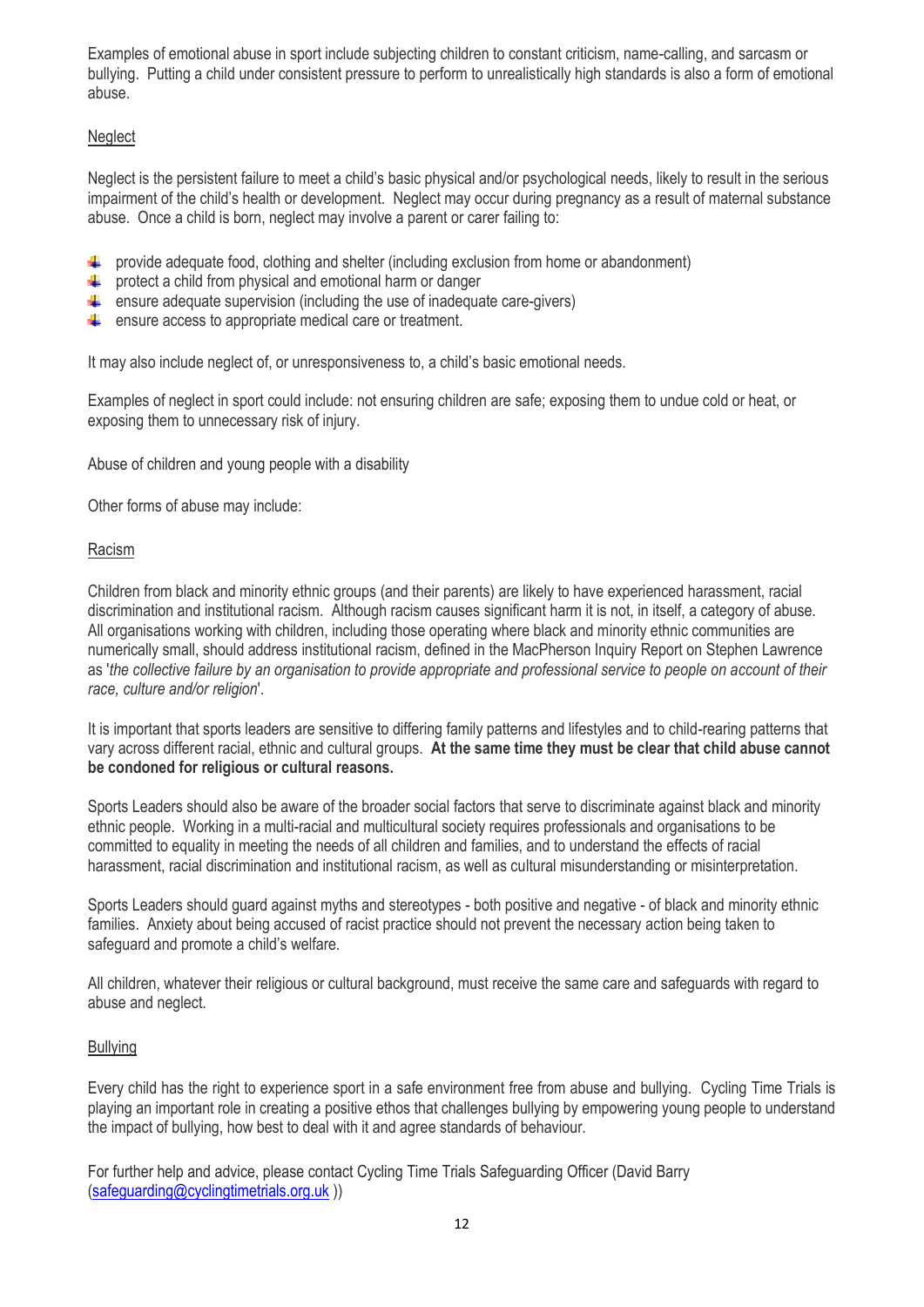Examples of emotional abuse in sport include subjecting children to constant criticism, name-calling, and sarcasm or bullying. Putting a child under consistent pressure to perform to unrealistically high standards is also a form of emotional abuse.

#### **Neglect**

Neglect is the persistent failure to meet a child's basic physical and/or psychological needs, likely to result in the serious impairment of the child's health or development. Neglect may occur during pregnancy as a result of maternal substance abuse. Once a child is born, neglect may involve a parent or carer failing to:

- **EXECUTER 19 FOOT ADDETER 10 FOOT ADDET** (including exclusion from home or abandonment)
- $\leftarrow$  protect a child from physical and emotional harm or danger
- $\uparrow$  ensure adequate supervision (including the use of inadequate care-givers)
- $\leftarrow$  ensure access to appropriate medical care or treatment.

It may also include neglect of, or unresponsiveness to, a child's basic emotional needs.

Examples of neglect in sport could include: not ensuring children are safe; exposing them to undue cold or heat, or exposing them to unnecessary risk of injury.

Abuse of children and young people with a disability

Other forms of abuse may include:

#### Racism

Children from black and minority ethnic groups (and their parents) are likely to have experienced harassment, racial discrimination and institutional racism. Although racism causes significant harm it is not, in itself, a category of abuse. All organisations working with children, including those operating where black and minority ethnic communities are numerically small, should address institutional racism, defined in the MacPherson Inquiry Report on Stephen Lawrence as '*the collective failure by an organisation to provide appropriate and professional service to people on account of their race, culture and/or religion*'.

It is important that sports leaders are sensitive to differing family patterns and lifestyles and to child-rearing patterns that vary across different racial, ethnic and cultural groups. **At the same time they must be clear that child abuse cannot be condoned for religious or cultural reasons.**

Sports Leaders should also be aware of the broader social factors that serve to discriminate against black and minority ethnic people. Working in a multi-racial and multicultural society requires professionals and organisations to be committed to equality in meeting the needs of all children and families, and to understand the effects of racial harassment, racial discrimination and institutional racism, as well as cultural misunderstanding or misinterpretation.

Sports Leaders should guard against myths and stereotypes - both positive and negative - of black and minority ethnic families. Anxiety about being accused of racist practice should not prevent the necessary action being taken to safeguard and promote a child's welfare.

All children, whatever their religious or cultural background, must receive the same care and safeguards with regard to abuse and neglect.

#### Bullying

Every child has the right to experience sport in a safe environment free from abuse and bullying. Cycling Time Trials is playing an important role in creating a positive ethos that challenges bullying by empowering young people to understand the impact of bullying, how best to deal with it and agree standards of behaviour.

For further help and advice, please contact Cycling Time Trials Safeguarding Officer (David Barry [\(safeguarding@cyclingtimetrials.org.uk](mailto:safeguarding@cyclingtimetrials.org.uk) ))